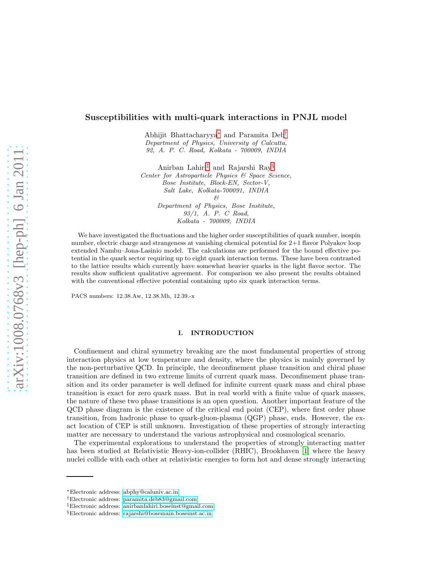# Susceptibilities with multi-quark interactions in PNJL model

Abhijit Bhattacharyya[∗](#page-0-0) and Paramita Deb[†](#page-0-1) Department of Physics, University of Calcutta, 92, A. P. C. Road, Kolkata - 700009, INDIA

Anirban Lahiri[‡](#page-0-2) and Rajarshi Ray[§](#page-0-3)

Center for Astroparticle Physics & Space Science, Bose Institute, Block-EN, Sector-V, Salt Lake, Kolkata-700091, INDIA  $\beta$ 

Department of Physics, Bose Institute, 93/1, A. P. C Road, Kolkata - 700009, INDIA

We have investigated the fluctuations and the higher order susceptibilities of quark number, isospin number, electric charge and strangeness at vanishing chemical potential for 2+1 flavor Polyakov loop extended Nambu–Jona-Lasinio model. The calculations are performed for the bound effective potential in the quark sector requiring up to eight quark interaction terms. These have been contrasted to the lattice results which currently have somewhat heavier quarks in the light flavor sector. The results show sufficient qualitative agreement. For comparison we also present the results obtained with the conventional effective potential containing upto six quark interaction terms.

PACS numbers: 12.38.Aw, 12.38.Mh, 12.39.-x

### I. INTRODUCTION

Confinement and chiral symmetry breaking are the most fundamental properties of strong interaction physics at low temperature and density, where the physics is mainly governed by the non-perturbative QCD. In principle, the deconfinement phase transition and chiral phase transition are defined in two extreme limits of current quark mass. Deconfinement phase transition and its order parameter is well defined for infinite current quark mass and chiral phase transition is exact for zero quark mass. But in real world with a finite value of quark masses, the nature of these two phase transitions is an open question. Another important feature of the QCD phase diagram is the existence of the critical end point (CEP), where first order phase transition, from hadronic phase to quark-gluon-plasma (QGP) phase, ends. However, the exact location of CEP is still unknown. Investigation of these properties of strongly interacting matter are necessary to understand the various astrophysical and cosmological scenario.

The experimental explorations to understand the properties of strongly interacting matter has been studied at Relativistic Heavy-ion-collider (RHIC), Brookhaven [\[1](#page-13-0)] where the heavy nuclei collide with each other at relativistic energies to form hot and dense strongly interacting

<span id="page-0-0"></span><sup>∗</sup>Electronic address: [abphy@caluniv.ac.in](mailto:abphy@caluniv.ac.in)

<span id="page-0-1"></span><sup>†</sup>Electronic address: [paramita.deb83@gmail.com](mailto:paramita.deb83@gmail.com)

<span id="page-0-2"></span><sup>‡</sup>Electronic address: [anirbanlahiri.boseinst@gmail.com](mailto:anirbanlahiri.boseinst@gmail.com)

<span id="page-0-3"></span><sup>§</sup>Electronic address: [rajarshi@bosemain.boseinst.ac.in](mailto:rajarshi@bosemain.boseinst.ac.in)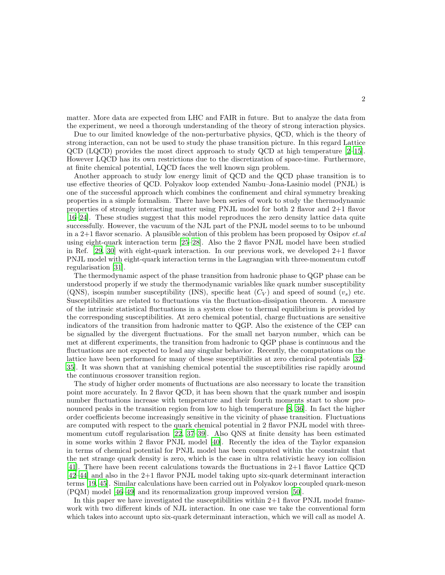matter. More data are expected from LHC and FAIR in future. But to analyze the data from the experiment, we need a thorough understanding of the theory of strong interaction physics.

Due to our limited knowledge of the non-perturbative physics, QCD, which is the theory of strong interaction, can not be used to study the phase transition picture. In this regard Lattice QCD (LQCD) provides the most direct approach to study QCD at high temperature [\[2](#page-13-1)[–15\]](#page-14-0). However LQCD has its own restrictions due to the discretization of space-time. Furthermore, at finite chemical potential, LQCD faces the well known sign problem.

Another approach to study low energy limit of QCD and the QCD phase transition is to use effective theories of QCD. Polyakov loop extended Nambu–Jona-Lasinio model (PNJL) is one of the successful approach which combines the confinement and chiral symmetry breaking properties in a simple formalism. There have been series of work to study the thermodynamic properties of strongly interacting matter using PNJL model for both 2 flavor and 2+1 flavor [\[16](#page-14-1)[–24\]](#page-14-2). These studies suggest that this model reproduces the zero density lattice data quite successfully. However, the vacuum of the NJL part of the PNJL model seems to to be unbound in a 2+1 flavor scenario. A plausible solution of this problem has been proposed by Osipov  $et.$ using eight-quark interaction term [\[25](#page-14-3)[–28\]](#page-14-4). Also the 2 flavor PNJL model have been studied in Ref.  $[29, 30]$  $[29, 30]$  with eight-quark interaction. In our previous work, we developed  $2+1$  flavor PNJL model with eight-quark interaction terms in the Lagrangian with three-momentum cutoff regularisation [\[31](#page-14-7)].

The thermodynamic aspect of the phase transition from hadronic phase to QGP phase can be understood properly if we study the thermodynamic variables like quark number susceptibility (QNS), isospin number susceptibility (INS), specific heat  $(C_V)$  and speed of sound  $(v_s)$  etc. Susceptibilities are related to fluctuations via the fluctuation-dissipation theorem. A measure of the intrinsic statistical fluctuations in a system close to thermal equilibrium is provided by the corresponding susceptibilities. At zero chemical potential, charge fluctuations are sensitive indicators of the transition from hadronic matter to QGP. Also the existence of the CEP can be signalled by the divergent fluctuations. For the small net baryon number, which can be met at different experiments, the transition from hadronic to QGP phase is continuous and the fluctuations are not expected to lead any singular behavior. Recently, the computations on the lattice have been performed for many of these susceptibilities at zero chemical potentials [\[32–](#page-14-8) [35\]](#page-14-9). It was shown that at vanishing chemical potential the susceptibilities rise rapidly around the continuous crossover transition region.

The study of higher order moments of fluctuations are also necessary to locate the transition point more accurately. In 2 flavor QCD, it has been shown that the quark number and isospin number fluctuations increase with temperature and their fourth moments start to show pronounced peaks in the transition region from low to high temperature [\[8](#page-13-2), [36](#page-14-10)]. In fact the higher order coefficients become increasingly sensitive in the vicinity of phase transition. Fluctuations are computed with respect to the quark chemical potential in 2 flavor PNJL model with threemomentum cutoff regularisation [\[22](#page-14-11), [37](#page-14-12)[–39\]](#page-14-13). Also QNS at finite density has been estimated in some works within 2 flavor PNJL model [\[40](#page-14-14)]. Recently the idea of the Taylor expansion in terms of chemical potential for PNJL model has been computed within the constraint that the net strange quark density is zero, which is the case in ultra relativistic heavy ion collision [\[41\]](#page-14-15). There have been recent calculations towards the fluctuations in 2+1 flavor Lattice QCD [\[42](#page-14-16)[–44\]](#page-14-17) and also in the 2+1 flavor PNJL model taking upto six-quark determinant interaction terms [\[19,](#page-14-18) [45\]](#page-14-19). Similar calculations have been carried out in Polyakov loop coupled quark-meson (PQM) model [\[46](#page-14-20)[–49\]](#page-14-21) and its renormalization group improved version [\[50\]](#page-14-22).

In this paper we have investigated the susceptibilities within  $2+1$  flavor PNJL model framework with two different kinds of NJL interaction. In one case we take the conventional form which takes into account upto six-quark determinant interaction, which we will call as model A.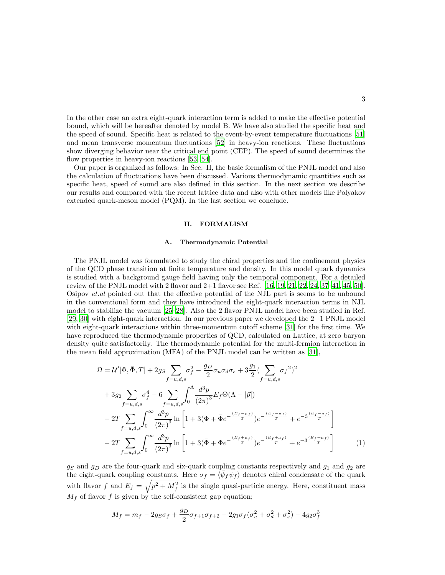In the other case an extra eight-quark interaction term is added to make the effective potential bound, which will be hereafter denoted by model B. We have also studied the specific heat and the speed of sound. Specific heat is related to the event-by-event temperature fluctuations [\[51](#page-14-23)] and mean transverse momentum fluctuations [\[52\]](#page-14-24) in heavy-ion reactions. These fluctuations show diverging behavior near the critical end point (CEP). The speed of sound determines the flow properties in heavy-ion reactions [\[53](#page-14-25), [54](#page-14-26)].

Our paper is organized as follows: In Sec. II, the basic formalism of the PNJL model and also the calculation of fluctuations have been discussed. Various thermodynamic quantities such as specific heat, speed of sound are also defined in this section. In the next section we describe our results and compared with the recent lattice data and also with other models like Polyakov extended quark-meson model (PQM). In the last section we conclude.

## II. FORMALISM

#### A. Thermodynamic Potential

The PNJL model was formulated to study the chiral properties and the confinement physics of the QCD phase transition at finite temperature and density. In this model quark dynamics is studied with a background gauge field having only the temporal component. For a detailed review of the PNJL model with 2 flavor and  $2+1$  flavor see Ref. [\[16](#page-14-1), [19,](#page-14-18) [21,](#page-14-27) [22,](#page-14-11) [24,](#page-14-2) [37](#page-14-12)[–41](#page-14-15), [45](#page-14-19), [50](#page-14-22)]. Osipov et.al pointed out that the effective potential of the NJL part is seems to be unbound in the conventional form and they have introduced the eight-quark interaction terms in NJL model to stabilize the vacuum [\[25](#page-14-3)[–28](#page-14-4)]. Also the 2 flavor PNJL model have been studied in Ref. [\[29,](#page-14-5) [30](#page-14-6)] with eight-quark interaction. In our previous paper we developed the 2+1 PNJL model with eight-quark interactions within three-momentum cutoff scheme [\[31](#page-14-7)] for the first time. We have reproduced the thermodynamic properties of QCD, calculated on Lattice, at zero baryon density quite satisfactorily. The thermodynamic potential for the multi-fermion interaction in the mean field approximation (MFA) of the PNJL model can be written as [\[31](#page-14-7)],

$$
\Omega = \mathcal{U}'[\Phi, \bar{\Phi}, T] + 2g_S \sum_{f=u,d,s} \sigma_f^2 - \frac{g_D}{2} \sigma_u \sigma_d \sigma_s + 3 \frac{g_1}{2} \left( \sum_{f=u,d,s} \sigma_f^2 \right)^2 \n+ 3g_2 \sum_{f=u,d,s} \sigma_f^4 - 6 \sum_{f=u,d,s} \int_0^{\Lambda} \frac{d^3 p}{(2\pi)^3} E_f \Theta(\Lambda - |\vec{p}|) \n- 2T \sum_{f=u,d,s} \int_0^{\infty} \frac{d^3 p}{(2\pi)^3} \ln \left[ 1 + 3(\Phi + \bar{\Phi}e^{-\frac{(E_f - \mu_f)}{T}}) e^{-\frac{(E_f - \mu_f)}{T}} + e^{-3\frac{(E_f - \mu_f)}{T}} \right] \n- 2T \sum_{f=u,d,s} \int_0^{\infty} \frac{d^3 p}{(2\pi)^3} \ln \left[ 1 + 3(\bar{\Phi} + \Phi e^{-\frac{(E_f + \mu_f)}{T}}) e^{-\frac{(E_f + \mu_f)}{T}} + e^{-3\frac{(E_f + \mu_f)}{T}} \right] \tag{1}
$$

 $g_S$  and  $g_D$  are the four-quark and six-quark coupling constants respectively and  $g_1$  and  $g_2$  are the eight-quark coupling constants. Here  $\sigma_f = \langle \bar{\psi}_f \psi_f \rangle$  denotes chiral condensate of the quark with flavor f and  $E_f = \sqrt{p^2 + M_f^2}$  is the single quasi-particle energy. Here, constituent mass  $M_f$  of flavor f is given by the self-consistent gap equation;

$$
M_f = m_f - 2g_S \sigma_f + \frac{g_D}{2} \sigma_{f+1} \sigma_{f+2} - 2g_1 \sigma_f (\sigma_u^2 + \sigma_d^2 + \sigma_s^2) - 4g_2 \sigma_f^3
$$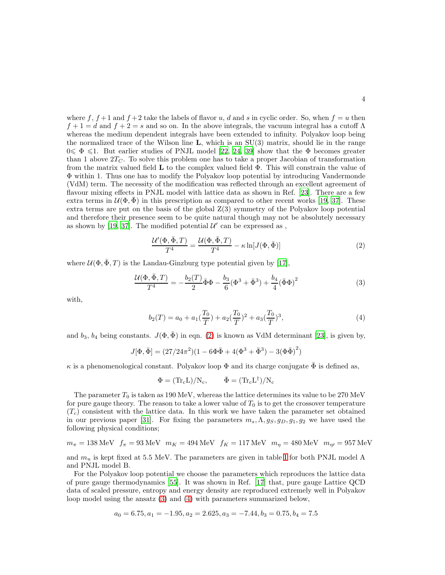where f,  $f + 1$  and  $f + 2$  take the labels of flavor u, d and s in cyclic order. So, when  $f = u$  then  $f+1=d$  and  $f+2=s$  and so on. In the above integrals, the vacuum integral has a cutoff  $\Lambda$ whereas the medium dependent integrals have been extended to infinity. Polyakov loop being the normalized trace of the Wilson line  $\bf{L}$ , which is an  $SU(3)$  matrix, should lie in the range  $0 \le \Phi \le 1$ . But earlier studies of PNJL model [\[22,](#page-14-11) [24,](#page-14-2) [39\]](#page-14-13) show that the  $\Phi$  becomes greater than 1 above  $2T<sub>C</sub>$ . To solve this problem one has to take a proper Jacobian of transformation from the matrix valued field  $\bf{L}$  to the complex valued field  $\Phi$ . This will constrain the value of Φ within 1. Thus one has to modify the Polyakov loop potential by introducing Vandermonde (VdM) term. The necessity of the modification was reflected through an excellent agreement of flavour mixing effects in PNJL model with lattice data as shown in Ref. [\[23\]](#page-14-28). There are a few extra terms in  $\mathcal{U}(\Phi,\Phi)$  in this prescription as compared to other recent works [\[19](#page-14-18), [37\]](#page-14-12). These extra terms are put on the basis of the global  $Z(3)$  symmetry of the Polyakov loop potential and therefore their presence seem to be quite natural though may not be absolutely necessary as shown by [\[19,](#page-14-18) [37\]](#page-14-12). The modified potential  $\mathcal{U}'$  can be expressed as,

<span id="page-3-0"></span>
$$
\frac{\mathcal{U}'(\Phi,\bar{\Phi},T)}{T^4} = \frac{\mathcal{U}(\Phi,\bar{\Phi},T)}{T^4} - \kappa \ln[J(\Phi,\bar{\Phi})] \tag{2}
$$

where  $\mathcal{U}(\Phi, \bar{\Phi}, T)$  is the Landau-Ginzburg type potential given by [\[17\]](#page-14-29),

<span id="page-3-1"></span>
$$
\frac{\mathcal{U}(\Phi, \bar{\Phi}, T)}{T^4} = -\frac{b_2(T)}{2} \bar{\Phi}\Phi - \frac{b_3}{6} (\Phi^3 + \bar{\Phi}^3) + \frac{b_4}{4} (\bar{\Phi}\Phi)^2 \tag{3}
$$

with,

<span id="page-3-2"></span>
$$
b_2(T) = a_0 + a_1(\frac{T_0}{T}) + a_2(\frac{T_0}{T})^2 + a_3(\frac{T_0}{T})^3,
$$
\n<sup>(4)</sup>

and  $b_3$ ,  $b_4$  being constants.  $J(\Phi, \bar{\Phi})$  in eqn. [\(2\)](#page-3-0) is known as VdM determinant [\[23\]](#page-14-28), is given by,

$$
J[\Phi, \bar{\Phi}] = (27/24\pi^2)(1 - 6\Phi\bar{\Phi} + 4(\Phi^3 + \bar{\Phi}^3) - 3(\Phi\bar{\Phi})^2)
$$

 $κ$  is a phenomenological constant. Polyakov loop  $Φ$  and its charge conjugate  $Φ$  is defined as,

$$
\Phi = (\mathrm{Tr}_c L)/N_c, \qquad \bar{\Phi} = (\mathrm{Tr}_c L^{\dagger})/N_c
$$

The parameter  $T_0$  is taken as 190 MeV, whereas the lattice determines its value to be 270 MeV for pure gauge theory. The reason to take a lower value of  $T_0$  is to get the crossover temperature  $(T_c)$  consistent with the lattice data. In this work we have taken the parameter set obtained in our previous paper [\[31](#page-14-7)]. For fixing the parameters  $m_s, \Lambda, g_s, g_D, g_1, g_2$  we have used the following physical conditions;

$$
m_{\pi} = 138 \text{ MeV} \quad f_{\pi} = 93 \text{ MeV} \quad m_K = 494 \text{ MeV} \quad f_K = 117 \text{ MeV} \quad m_{\eta} = 480 \text{ MeV} \quad m_{\eta\prime} = 957 \text{ MeV}
$$

and  $m_u$  is kept fixed at 5.5 MeV. The parameters are given in table [I](#page-4-0) for both PNJL model A and PNJL model B.

For the Polyakov loop potential we choose the parameters which reproduces the lattice data of pure gauge thermodynamics [\[55\]](#page-14-30). It was shown in Ref. [\[17](#page-14-29)] that, pure gauge Lattice QCD data of scaled pressure, entropy and energy density are reproduced extremely well in Polyakov loop model using the ansatz [\(3\)](#page-3-1) and [\(4\)](#page-3-2) with parameters summarized below,

$$
a_0 = 6.75, a_1 = -1.95, a_2 = 2.625, a_3 = -7.44, b_3 = 0.75, b_4 = 7.5
$$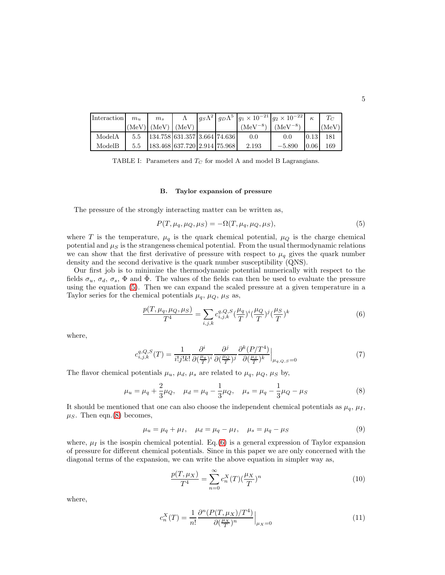| Interaction | $m_{\rm u}$ | m <sub>s</sub>                     |  | $ g_S\Lambda^2  g_D\Lambda^5  g_1 \times 10^{-21}  g_2 \times 10^{-22} $ |              |      | $T_C$ |
|-------------|-------------|------------------------------------|--|--------------------------------------------------------------------------|--------------|------|-------|
|             |             | $(MeV)$ $(MeV)$ $(MeV)$            |  | $(MeV^{-8})$                                                             | $(MeV^{-8})$ |      | (MeV) |
| ModelA      | 5.5         | 134.758 631.357 3.664 74.636       |  | 0.0                                                                      | 0.0          | 0.13 | -181  |
| ModelB      | 5.5         | 183.468   637.720   2.914   75.968 |  | 2.193                                                                    | $-5.890$     | 0.06 | 169   |

TABLE I: Parameters and  $T_C$  for model A and model B Lagrangians.

#### <span id="page-4-0"></span>B. Taylor expansion of pressure

The pressure of the strongly interacting matter can be written as,

<span id="page-4-1"></span>
$$
P(T, \mu_q, \mu_Q, \mu_S) = -\Omega(T, \mu_q, \mu_Q, \mu_S),\tag{5}
$$

where T is the temperature,  $\mu_q$  is the quark chemical potential,  $\mu_Q$  is the charge chemical potential and  $\mu_S$  is the strangeness chemical potential. From the usual thermodynamic relations we can show that the first derivative of pressure with respect to  $\mu_q$  gives the quark number density and the second derivative is the quark number susceptibility (QNS).

Our first job is to minimize the thermodynamic potential numerically with respect to the fields  $\sigma_u$ ,  $\sigma_d$ ,  $\sigma_s$ ,  $\Phi$  and  $\bar{\Phi}$ . The values of the fields can then be used to evaluate the pressure using the equation [\(5\)](#page-4-1). Then we can expand the scaled pressure at a given temperature in a Taylor series for the chemical potentials  $\mu_q$ ,  $\mu_Q$ ,  $\mu_S$  as,

<span id="page-4-3"></span>
$$
\frac{p(T, \mu_q, \mu_Q, \mu_S)}{T^4} = \sum_{i,j,k} c_{i,j,k}^{q,Q,S} \left(\frac{\mu_q}{T}\right)^i \left(\frac{\mu_Q}{T}\right)^j \left(\frac{\mu_S}{T}\right)^k \tag{6}
$$

where,

$$
c_{i,j,k}^{q,Q,S}(T) = \frac{1}{i!j!k!} \frac{\partial^i}{\partial \left(\frac{\mu_q}{T}\right)^i} \frac{\partial^j}{\partial \left(\frac{\mu_Q}{T}\right)^j} \frac{\partial^k (P/T^4)}{\partial \left(\frac{\mu_S}{T}\right)^k} \Big|_{\mu_{q,Q,S}=0} \tag{7}
$$

The flavor chemical potentials  $\mu_u$ ,  $\mu_d$ ,  $\mu_s$  are related to  $\mu_q$ ,  $\mu_Q$ ,  $\mu_S$  by,

<span id="page-4-2"></span>
$$
\mu_u = \mu_q + \frac{2}{3}\mu_Q, \quad \mu_d = \mu_q - \frac{1}{3}\mu_Q, \quad \mu_s = \mu_q - \frac{1}{3}\mu_Q - \mu_S \tag{8}
$$

It should be mentioned that one can also choose the independent chemical potentials as  $\mu_q$ ,  $\mu_I$ ,  $\mu_S$ . Then eqn.[\(8\)](#page-4-2) becomes,

$$
\mu_u = \mu_q + \mu_I, \quad \mu_d = \mu_q - \mu_I, \quad \mu_s = \mu_q - \mu_S \tag{9}
$$

where,  $\mu_I$  is the isospin chemical potential. Eq.[\(6\)](#page-4-3) is a general expression of Taylor expansion of pressure for different chemical potentials. Since in this paper we are only concerned with the diagonal terms of the expansion, we can write the above equation in simpler way as,

$$
\frac{p(T, \mu_X)}{T^4} = \sum_{n=0}^{\infty} c_n^X(T) \left(\frac{\mu_X}{T}\right)^n \tag{10}
$$

where,

$$
c_n^X(T) = \frac{1}{n!} \frac{\partial^n (P(T, \mu_X)/T^4)}{\partial (\frac{\mu_X}{T})^n} \Big|_{\mu_X = 0} \tag{11}
$$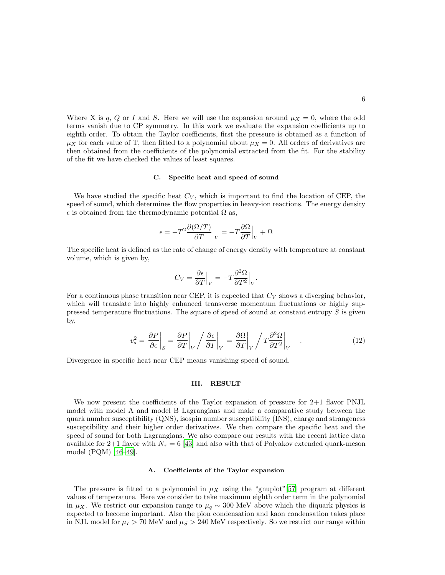Where X is q, Q or I and S. Here we will use the expansion around  $\mu_X = 0$ , where the odd terms vanish due to CP symmetry. In this work we evaluate the expansion coefficients up to eighth order. To obtain the Taylor coefficients, first the pressure is obtained as a function of  $\mu_X$  for each value of T, then fitted to a polynomial about  $\mu_X = 0$ . All orders of derivatives are then obtained from the coefficients of the polynomial extracted from the fit. For the stability of the fit we have checked the values of least squares.

#### C. Specific heat and speed of sound

We have studied the specific heat  $C_V$ , which is important to find the location of CEP, the speed of sound, which determines the flow properties in heavy-ion reactions. The energy density  $\epsilon$  is obtained from the thermodynamic potential  $\Omega$  as,

$$
\epsilon = -T^2 \frac{\partial (\Omega/T)}{\partial T} \Big|_{V} = -T \frac{\partial \Omega}{\partial T} \Big|_{V} + \Omega
$$

The specific heat is defined as the rate of change of energy density with temperature at constant volume, which is given by,

$$
C_V = \frac{\partial \epsilon}{\partial T}\Big|_V = -T \frac{\partial^2 \Omega}{\partial T^2}\Big|_V.
$$

For a continuous phase transition near CEP, it is expected that  $C_V$  shows a diverging behavior, which will translate into highly enhanced transverse momentum fluctuations or highly suppressed temperature fluctuations. The square of speed of sound at constant entropy  $S$  is given by,

$$
v_s^2 = \frac{\partial P}{\partial \epsilon}\Big|_S = \frac{\partial P}{\partial T}\Big|_V / \frac{\partial \epsilon}{\partial T}\Big|_V = \frac{\partial \Omega}{\partial T}\Big|_V / T \frac{\partial^2 \Omega}{\partial T^2}\Big|_V \quad . \tag{12}
$$

Divergence in specific heat near CEP means vanishing speed of sound.

## III. RESULT

We now present the coefficients of the Taylor expansion of pressure for 2+1 flavor PNJL model with model A and model B Lagrangians and make a comparative study between the quark number susceptibility (QNS), isospin number susceptibility (INS), charge and strangeness susceptibility and their higher order derivatives. We then compare the specific heat and the speed of sound for both Lagrangians. We also compare our results with the recent lattice data available for 2+1 flavor with  $N<sub>\tau</sub> = 6$  [\[43](#page-14-31)] and also with that of Polyakov extended quark-meson model (PQM) [\[46](#page-14-20)[–49\]](#page-14-21).

## A. Coefficients of the Taylor expansion

The pressure is fitted to a polynomial in  $\mu_X$  using the "gnuplot"[\[57\]](#page-14-32) program at different values of temperature. Here we consider to take maximum eighth order term in the polynomial in  $\mu_X$ . We restrict our expansion range to  $\mu_q \sim 300$  MeV above which the diquark physics is expected to become important. Also the pion condensation and kaon condensation takes place in NJL model for  $\mu_I > 70$  MeV and  $\mu_S > 240$  MeV respectively. So we restrict our range within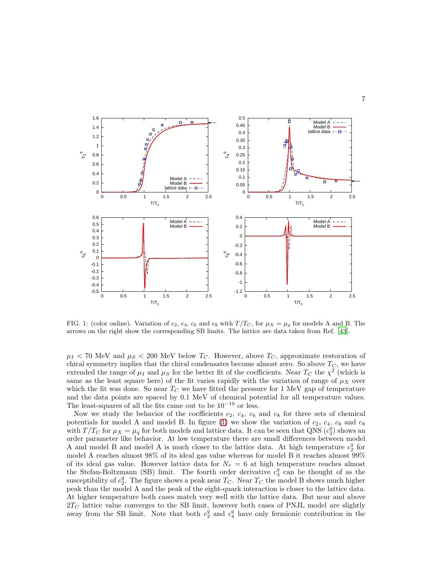

<span id="page-6-0"></span>FIG. 1: (color online). Variation of  $c_2$ ,  $c_4$ ,  $c_6$  and  $c_8$  with  $T/T_C$ , for  $\mu_X = \mu_q$  for models A and B. The arrows on the right show the corresponding SB limits. The lattice are data taken from Ref. [\[43\]](#page-14-31).

 $\mu_I < 70$  MeV and  $\mu_S < 200$  MeV below  $T_C$ . However, above  $T_C$ , approximate restoration of chiral symmetry implies that the chiral condensates become almost zero. So above  $T_C$ , we have extended the range of  $\mu_I$  and  $\mu_S$  for the better fit of the coefficients. Near  $T_C$  the  $\chi^2$  (which is same as the least square here) of the fit varies rapidly with the variation of range of  $\mu_X$  over which the fit was done. So near  $T_C$  we have fitted the pressure for 1 MeV gap of temperature and the data points are spaced by 0.1 MeV of chemical potential for all temperature values. The least-squares of all the fits came out to be  $10^{-10}$  or less.

Now we study the behavior of the coefficients  $c_2$ ,  $c_4$ ,  $c_6$  and  $c_8$  for three sets of chemical potentials for model A and model B. In figure [\(1\)](#page-6-0) we show the variation of  $c_2$ ,  $c_4$ ,  $c_6$  and  $c_8$ with  $T/T_C$  for  $\mu_X = \mu_q$  for both models and lattice data. It can be seen that QNS  $(c_2^q)$  shows an order parameter like behavior. At low temperature there are small differences between model A and model B and model A is much closer to the lattice data. At high temperature  $c_2^q$  for model A reaches almost 98% of its ideal gas value whereas for model B it reaches almost 99% of its ideal gas value. However lattice data for  $N<sub>\tau</sub> = 6$  at high temperature reaches almost the Stefan-Boltzmann (SB) limit. The fourth order derivative  $c_4^q$  can be thought of as the susceptibility of  $c_2^q$ . The figure shows a peak near  $T_C$ . Near  $T_C$  the model B shows much higher peak than the model A and the peak of the eight-quark interaction is closer to the lattice data. At higher temperature both cases match very well with the lattice data. But near and above  $2T_C$  lattice value converges to the SB limit, however both cases of PNJL model are slightly away from the SB limit. Note that both  $c_2^q$  and  $c_4^q$  have only fermionic contribution in the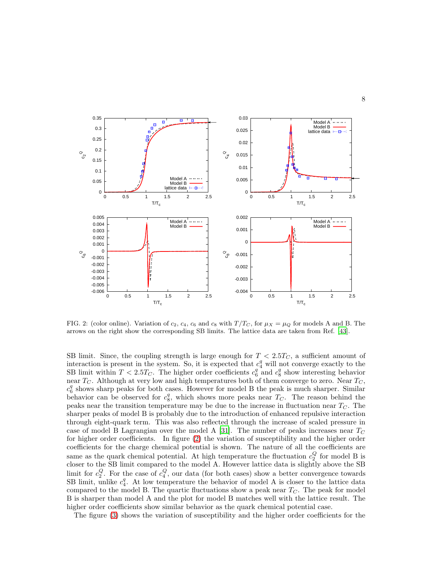

<span id="page-7-0"></span>FIG. 2: (color online). Variation of  $c_2$ ,  $c_4$ ,  $c_6$  and  $c_8$  with  $T/T_C$ , for  $\mu_X = \mu_Q$  for models A and B. The arrows on the right show the corresponding SB limits. The lattice data are taken from Ref. [\[43\]](#page-14-31).

SB limit. Since, the coupling strength is large enough for  $T < 2.5T_C$ , a sufficient amount of interaction is present in the system. So, it is expected that  $c_4^q$  will not converge exactly to the SB limit within  $T < 2.5T_C$ . The higher order coefficients  $c_6^q$  and  $c_8^q$  show interesting behavior near  $T_C$ . Although at very low and high temperatures both of them converge to zero. Near  $T_C$ ,  $c_6^q$  shows sharp peaks for both cases. However for model B the peak is much sharper. Similar behavior can be observed for  $c_8^q$ , which shows more peaks near  $T_C$ . The reason behind the peaks near the transition temperature may be due to the increase in fluctuation near  $T_{\text{C}}$ . The sharper peaks of model B is probably due to the introduction of enhanced repulsive interaction through eight-quark term. This was also reflected through the increase of scaled pressure in case of model B Lagrangian over the model A [\[31\]](#page-14-7). The number of peaks increases near  $T_C$ for higher order coefficients. In figure [\(2\)](#page-7-0) the variation of susceptibility and the higher order coefficients for the charge chemical potential is shown. The nature of all the coefficients are same as the quark chemical potential. At high temperature the fluctuation  $c_2^Q$  for model B is closer to the SB limit compared to the model A. However lattice data is slightly above the SB limit for  $c_2^Q$ . For the case of  $c_4^Q$ , our data (for both cases) show a better convergence towards SB limit, unlike  $c_4^q$ . At low temperature the behavior of model A is closer to the lattice data compared to the model B. The quartic fluctuations show a peak near  $T_{C}$ . The peak for model B is sharper than model A and the plot for model B matches well with the lattice result. The higher order coefficients show similar behavior as the quark chemical potential case.

The figure [\(3\)](#page-8-0) shows the variation of susceptibility and the higher order coefficients for the

8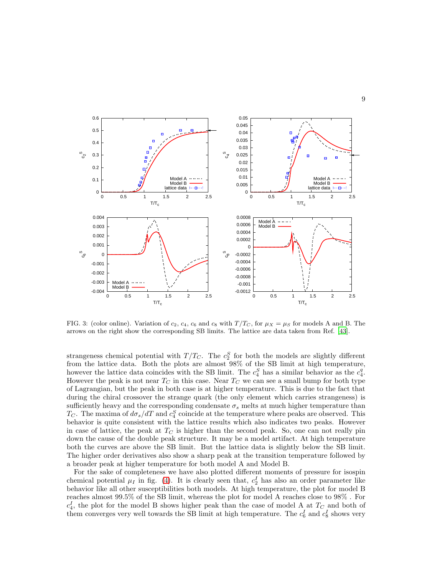

<span id="page-8-0"></span>FIG. 3: (color online). Variation of  $c_2$ ,  $c_4$ ,  $c_6$  and  $c_8$  with  $T/T_C$ , for  $\mu_X = \mu_S$  for models A and B. The arrows on the right show the corresponding SB limits. The lattice are data taken from Ref. [\[43\]](#page-14-31).

strangeness chemical potential with  $T/T_C$ . The  $c_2^S$  for both the models are slightly different from the lattice data. Both the plots are almost 98% of the SB limit at high temperature, however the lattice data coincides with the SB limit. The  $c_4^S$  has a similar behavior as the  $c_4^q$ . However the peak is not near  $T_C$  in this case. Near  $T_C$  we can see a small bump for both type of Lagrangian, but the peak in both case is at higher temperature. This is due to the fact that during the chiral crossover the strange quark (the only element which carries strangeness) is sufficiently heavy and the corresponding condensate  $\sigma_s$  melts at much higher temperature than  $T_C$ . The maxima of  $d\sigma_s/dT$  and  $c_4^S$  coincide at the temperature where peaks are observed. This behavior is quite consistent with the lattice results which also indicates two peaks. However in case of lattice, the peak at  $T_C$  is higher than the second peak. So, one can not really pin down the cause of the double peak structure. It may be a model artifact. At high temperature both the curves are above the SB limit. But the lattice data is slightly below the SB limit. The higher order derivatives also show a sharp peak at the transition temperature followed by a broader peak at higher temperature for both model A and Model B.

For the sake of completeness we have also plotted different moments of pressure for isospin chemical potential  $\mu_I$  in fig. [\(4\)](#page-9-0). It is clearly seen that,  $c_2^I$  has also an order parameter like behavior like all other susceptibilities both models. At high temperature, the plot for model B reaches almost 99.5% of the SB limit, whereas the plot for model A reaches close to 98% . For  $c_4^I$ , the plot for the model B shows higher peak than the case of model A at  $T_C$  and both of them converges very well towards the SB limit at high temperature. The  $c_6^I$  and  $c_8^I$  shows very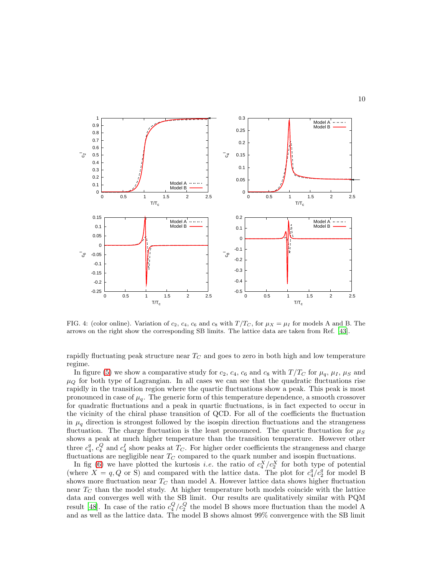

<span id="page-9-0"></span>FIG. 4: (color online). Variation of  $c_2$ ,  $c_4$ ,  $c_6$  and  $c_8$  with  $T/T_C$ , for  $\mu_X = \mu_I$  for models A and B. The arrows on the right show the corresponding SB limits. The lattice data are taken from Ref. [\[43\]](#page-14-31).

rapidly fluctuating peak structure near  $T_C$  and goes to zero in both high and low temperature regime.

In figure [\(5\)](#page-10-0) we show a comparative study for  $c_2$ ,  $c_4$ ,  $c_6$  and  $c_8$  with  $T/T_C$  for  $\mu_q$ ,  $\mu_I$ ,  $\mu_S$  and  $\mu_{\mathcal{Q}}$  for both type of Lagrangian. In all cases we can see that the quadratic fluctuations rise rapidly in the transition region where the quartic fluctuations show a peak. This peak is most pronounced in case of  $\mu_q$ . The generic form of this temperature dependence, a smooth crossover for quadratic fluctuations and a peak in quartic fluctuations, is in fact expected to occur in the vicinity of the chiral phase transition of QCD. For all of the coefficients the fluctuation in  $\mu_q$  direction is strongest followed by the isospin direction fluctuations and the strangeness fluctuation. The charge fluctuation is the least pronounced. The quartic fluctuation for  $\mu_S$ shows a peak at much higher temperature than the transition temperature. However other three  $c_4^q$ ,  $c_4^Q$  and  $c_4^I$  show peaks at  $T_C$ . For higher order coefficients the strangeness and charge fluctuations are negligible near  $T_C$  compared to the quark number and isospin fluctuations.

In fig [\(6\)](#page-11-0) we have plotted the kurtosis *i.e.* the ratio of  $c_4^X/c_2^X$  for both type of potential (where  $X = q, Q$  or S) and compared with the lattice data. The plot for  $c_4^q/c_2^q$  for model B shows more fluctuation near  $T_C$  than model A. However lattice data shows higher fluctuation near  $T_{C}$  than the model study. At higher temperature both models coincide with the lattice data and converges well with the SB limit. Our results are qualitatively similar with PQM result [\[48\]](#page-14-33). In case of the ratio  $c_4^Q/c_2^Q$  the model B shows more fluctuation than the model A and as well as the lattice data. The model B shows almost 99% convergence with the SB limit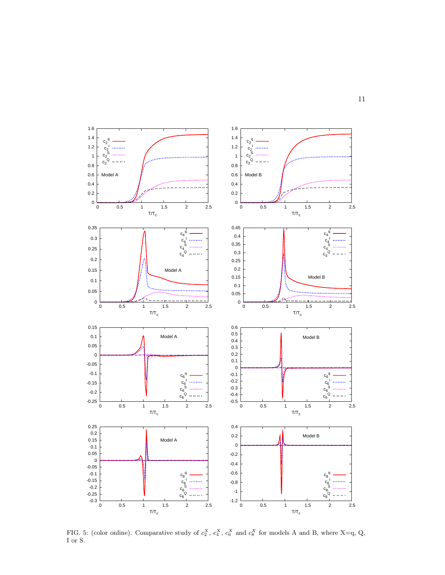

<span id="page-10-0"></span>FIG. 5: (color online). Comparative study of  $c_2^X$ ,  $c_4^X$ ,  $c_6^X$  and  $c_8^X$  for models A and B, where X=q, Q, I or S.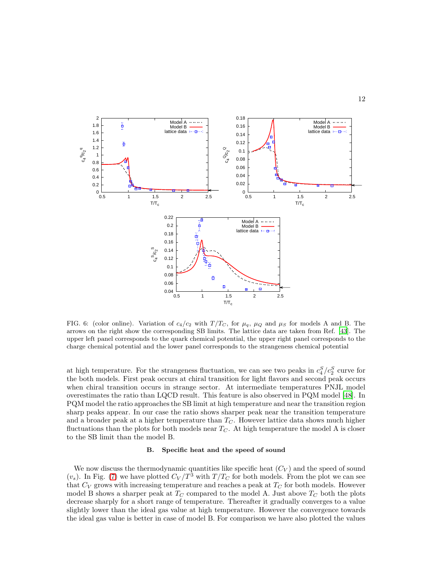

<span id="page-11-0"></span>FIG. 6: (color online). Variation of  $c_4/c_2$  with  $T/T_C$ , for  $\mu_q$ ,  $\mu_Q$  and  $\mu_S$  for models A and B. The arrows on the right show the corresponding SB limits. The lattice data are taken from Ref. [\[43](#page-14-31)]. The upper left panel corresponds to the quark chemical potential, the upper right panel corresponds to the charge chemical potential and the lower panel corresponds to the strangeness chemical potential

at high temperature. For the strangeness fluctuation, we can see two peaks in  $c_4^S/c_2^S$  curve for the both models. First peak occurs at chiral transition for light flavors and second peak occurs when chiral transition occurs in strange sector. At intermediate temperatures PNJL model overestimates the ratio than LQCD result. This feature is also observed in PQM model [\[48\]](#page-14-33). In PQM model the ratio approaches the SB limit at high temperature and near the transition region sharp peaks appear. In our case the ratio shows sharper peak near the transition temperature and a broader peak at a higher temperature than  $T<sub>C</sub>$ . However lattice data shows much higher fluctuations than the plots for both models near  $T<sub>C</sub>$ . At high temperature the model A is closer to the SB limit than the model B.

# B. Specific heat and the speed of sound

We now discuss the thermodynamic quantities like specific heat  $(C_V)$  and the speed of sound  $(v<sub>s</sub>)$ . In Fig. [\(7\)](#page-12-0) we have plotted  $C_V/T^3$  with  $T/T_C$  for both models. From the plot we can see that  $C_V$  grows with increasing temperature and reaches a peak at  $T_C$  for both models. However model B shows a sharper peak at  $T_{C}$  compared to the model A. Just above  $T_{C}$  both the plots decrease sharply for a short range of temperature. Thereafter it gradually converges to a value slightly lower than the ideal gas value at high temperature. However the convergence towards the ideal gas value is better in case of model B. For comparison we have also plotted the values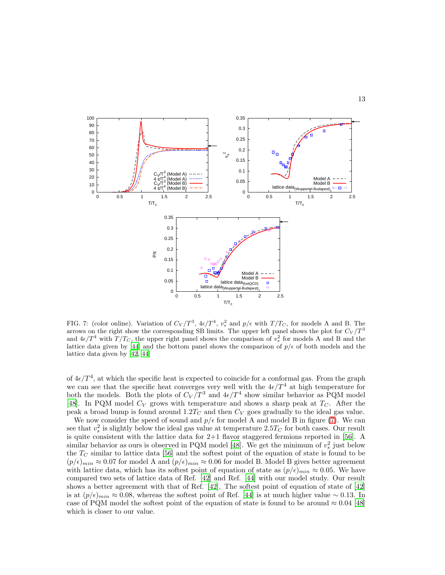

<span id="page-12-0"></span>FIG. 7: (color online). Variation of  $C_V/T^3$ ,  $4\epsilon/T^4$ ,  $v_s^2$  and  $p/\epsilon$  with  $T/T_C$ , for models A and B. The arrows on the right show the corresponding SB limits. The upper left panel shows the plot for  $C_V/T^3$ and  $4\epsilon/T^4$  with  $T/T_C$ , the upper right panel shows the comparison of  $v_s^2$  for models A and B and the lattice data given by [\[44\]](#page-14-17) and the bottom panel shows the comparison of  $p/\epsilon$  of both models and the lattice data given by [\[42](#page-14-16), [44](#page-14-17)]

of  $4\epsilon/T^4$ , at which the specific heat is expected to coincide for a conformal gas. From the graph we can see that the specific heat converges very well with the  $4\epsilon/T^4$  at high temperature for both the models. Both the plots of  $C_V/T^3$  and  $4\epsilon/T^4$  show similar behavior as PQM model [\[48\]](#page-14-33). In PQM model  $C_V$  grows with temperature and shows a sharp peak at  $T_C$ . After the peak a broad bump is found around  $1.2T_C$  and then  $C_V$  goes gradually to the ideal gas value.

We now consider the speed of sound and  $p/\epsilon$  for model A and model B in figure [\(7\)](#page-12-0). We can see that  $v_s^2$  is slightly below the ideal gas value at temperature 2.5T<sub>C</sub> for both cases. Our result is quite consistent with the lattice data for 2+1 flavor staggered fermions reported in [\[56](#page-14-34)]. A similar behavior as ours is observed in PQM model [\[48\]](#page-14-33). We get the minimum of  $v_s^2$  just below the  $T_C$  similar to lattice data [\[56](#page-14-34)] and the softest point of the equation of state is found to be  $(p/\epsilon)_{min} \approx 0.07$  for model A and  $(p/\epsilon)_{min} \approx 0.06$  for model B. Model B gives better agreement with lattice data, which has its softest point of equation of state as  $(p/\epsilon)_{min} \approx 0.05$ . We have compared two sets of lattice data of Ref. [\[42](#page-14-16)] and Ref. [\[44\]](#page-14-17) with our model study. Our result shows a better agreement with that of Ref. [\[42\]](#page-14-16). The softest point of equation of state of [\[42](#page-14-16)] is at  $(p/\epsilon)_{min} \approx 0.08$ , whereas the softest point of Ref. [\[44\]](#page-14-17) is at much higher value ~ 0.13. In case of PQM model the softest point of the equation of state is found to be around  $\approx 0.04$  [\[48](#page-14-33)] which is closer to our value.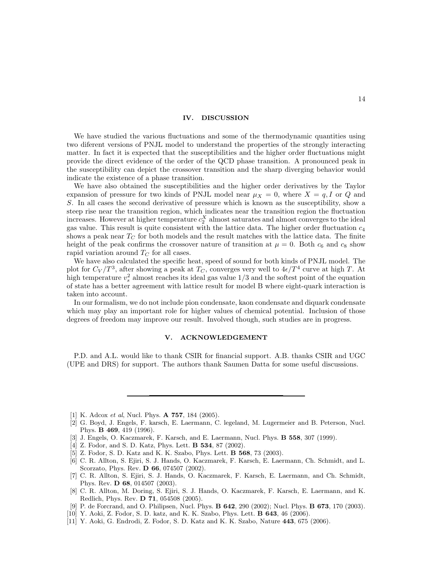#### IV. DISCUSSION

We have studied the various fluctuations and some of the thermodynamic quantities using two diferent versions of PNJL model to understand the properties of the strongly interacting matter. In fact it is expected that the susceptibilities and the higher order fluctuations might provide the direct evidence of the order of the QCD phase transition. A pronounced peak in the susceptibility can depict the crossover transition and the sharp diverging behavior would indicate the existence of a phase transition.

We have also obtained the susceptibilities and the higher order derivatives by the Taylor expansion of pressure for two kinds of PNJL model near  $\mu_X = 0$ , where  $X = q$ , I or Q and S. In all cases the second derivative of pressure which is known as the susceptibility, show a steep rise near the transition region, which indicates near the transition region the fluctuation increases. However at higher temperature  $c_2^X$  almost saturates and almost converges to the ideal gas value. This result is quite consistent with the lattice data. The higher order fluctuation  $c_4$ shows a peak near  $T_C$  for both models and the result matches with the lattice data. The finite height of the peak confirms the crossover nature of transition at  $\mu = 0$ . Both  $c_6$  and  $c_8$  show rapid variation around  $T_C$  for all cases.

We have also calculated the specific heat, speed of sound for both kinds of PNJL model. The plot for  $C_V/T^3$ , after showing a peak at  $T_C$ , converges very well to  $4\epsilon/T^4$  curve at high T. At high temperature  $v_s^2$  almost reaches its ideal gas value  $1/3$  and the softest point of the equation of state has a better agreement with lattice result for model B where eight-quark interaction is taken into account.

In our formalism, we do not include pion condensate, kaon condensate and diquark condensate which may play an important role for higher values of chemical potential. Inclusion of those degrees of freedom may improve our result. Involved though, such studies are in progress.

## V. ACKNOWLEDGEMENT

P.D. and A.L. would like to thank CSIR for financial support. A.B. thanks CSIR and UGC (UPE and DRS) for support. The authors thank Saumen Datta for some useful discussions.

<span id="page-13-0"></span>[1] K. Adcox et al, Nucl. Phys. **A 757**, 184 (2005).

- [3] J. Engels, O. Kaczmarek, F. Karsch, and E. Laermann, Nucl. Phys. B 558, 307 (1999).
- [4] Z. Fodor, and S. D. Katz, Phys. Lett. **B 534**, 87 (2002).
- [5] Z. Fodor, S. D. Katz and K. K. Szabo, Phys. Lett. B 568, 73 (2003).
- [6] C. R. Allton, S. Ejiri, S. J. Hands, O. Kaczmarek, F. Karsch, E. Laermann, Ch. Schmidt, and L. Scorzato, Phys. Rev. **D 66**, 074507 (2002).
- [7] C. R. Allton, S. Ejiri, S. J. Hands, O. Kaczmarek, F. Karsch, E. Laermann, and Ch. Schmidt, Phys. Rev. D 68, 014507 (2003).
- <span id="page-13-2"></span>[8] C. R. Allton, M. Doring, S. Ejiri, S. J. Hands, O. Kaczmarek, F. Karsch, E. Laermann, and K. Redlich, Phys. Rev. D 71, 054508 (2005).
- [9] P. de Forcrand, and O. Philipsen, Nucl. Phys. B 642, 290 (2002); Nucl. Phys. B 673, 170 (2003).
- [10] Y. Aoki, Z. Fodor, S. D. katz, and K. K. Szabo, Phys. Lett. B 643, 46 (2006).
- [11] Y. Aoki, G. Endrodi, Z. Fodor, S. D. Katz and K. K. Szabo, Nature 443, 675 (2006).

<span id="page-13-1"></span><sup>[2]</sup> G. Boyd, J. Engels, F. karsch, E. Laermann, C. legeland, M. Lugermeier and B. Peterson, Nucl. Phys. B 469, 419 (1996).